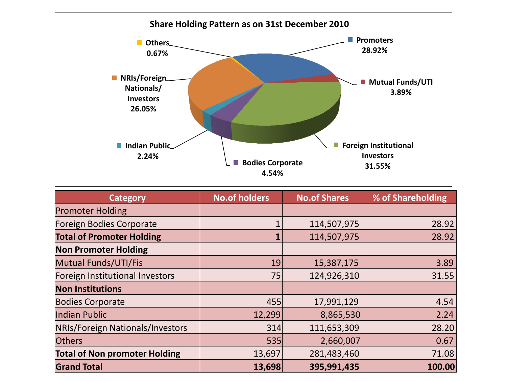

| <b>Category</b>                      | <b>No.of holders</b> | <b>No.of Shares</b> | % of Shareholding |
|--------------------------------------|----------------------|---------------------|-------------------|
| <b>Promoter Holding</b>              |                      |                     |                   |
| Foreign Bodies Corporate             |                      | 114,507,975         | 28.92             |
| <b>Total of Promoter Holding</b>     |                      | 114,507,975         | 28.92             |
| <b>Non Promoter Holding</b>          |                      |                     |                   |
| Mutual Funds/UTI/Fis                 | 19                   | 15,387,175          | 3.89              |
| Foreign Institutional Investors      | 75                   | 124,926,310         | 31.55             |
| <b>Non Institutions</b>              |                      |                     |                   |
| <b>Bodies Corporate</b>              | 455                  | 17,991,129          | 4.54              |
| Indian Public                        | 12,299               | 8,865,530           | 2.24              |
| NRIs/Foreign Nationals/Investors     | 314                  | 111,653,309         | 28.20             |
| <b>Others</b>                        | 535                  | 2,660,007           | 0.67              |
| <b>Total of Non promoter Holding</b> | 13,697               | 281,483,460         | 71.08             |
| <b>Grand Total</b>                   | 13,698               | 395,991,435         | 100.00            |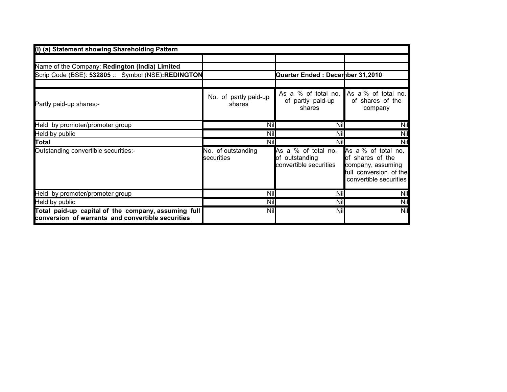| (I) (a) Statement showing Shareholding Pattern                                                           |                                  |                                                                 |                                                                                                                  |
|----------------------------------------------------------------------------------------------------------|----------------------------------|-----------------------------------------------------------------|------------------------------------------------------------------------------------------------------------------|
|                                                                                                          |                                  |                                                                 |                                                                                                                  |
| Name of the Company: Redington (India) Limited                                                           |                                  |                                                                 |                                                                                                                  |
| Scrip Code (BSE): 532805 :: Symbol (NSE):REDINGTON                                                       |                                  | Quarter Ended: Decerhber 31,2010                                |                                                                                                                  |
|                                                                                                          |                                  |                                                                 |                                                                                                                  |
| Partly paid-up shares:-                                                                                  | No. of partly paid-up<br>shares  | As a % of total no.<br>of partly paid-up<br>shares              | As a % of total no.<br>of shares of the<br>company                                                               |
| Held by promoter/promoter group                                                                          | <b>Nil</b>                       | <b>Nil</b>                                                      | Nil                                                                                                              |
| Held by public                                                                                           | Nil                              | Nil                                                             | Nil                                                                                                              |
| Total                                                                                                    | Nil                              | <b>Nil</b>                                                      | Nil                                                                                                              |
| Outstanding convertible securities:-                                                                     | No. of outstanding<br>securities | As a % of total no.<br>of outstanding<br>convertible securities | As a % of total no.<br>of shares of the<br>company, assuming<br>full conversion of the<br>convertible securities |
| Held by promoter/promoter group                                                                          | Nil                              | <b>Nil</b>                                                      | Nil                                                                                                              |
| Held by public                                                                                           | Nil                              | <b>Nil</b>                                                      | Nil                                                                                                              |
| Total paid-up capital of the company, assuming full<br>conversion of warrants and convertible securities | <b>Nil</b>                       | <b>Nil</b>                                                      | Nil                                                                                                              |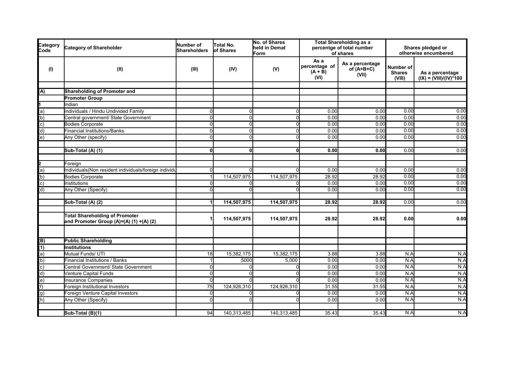| Category<br>Code                                                                                                                                                                                                                                                                                                                                                                                                                                                             | <b>Category of Shareholder</b>                                                   | Number of<br><b>Shareholders</b> | Total No.<br>of Shares | No. of Shares<br>held in Demat<br>Form | <b>Total Shareholding as a</b><br>percentge of total number<br>of shares |                                          |                                      | Shares pledged or<br>otherwise encumbered    |  |
|------------------------------------------------------------------------------------------------------------------------------------------------------------------------------------------------------------------------------------------------------------------------------------------------------------------------------------------------------------------------------------------------------------------------------------------------------------------------------|----------------------------------------------------------------------------------|----------------------------------|------------------------|----------------------------------------|--------------------------------------------------------------------------|------------------------------------------|--------------------------------------|----------------------------------------------|--|
| (1)                                                                                                                                                                                                                                                                                                                                                                                                                                                                          | (II)                                                                             | (III)                            | (IV)                   | (V)                                    | As a<br>percentage of<br>$(A + B)$<br>(VI)                               | As a percentage<br>of $(A+B+C)$<br>(VII) | Number of<br><b>Shares</b><br>(VIII) | As a percentage<br>$(IX) = (VIII)/(IV)^*100$ |  |
|                                                                                                                                                                                                                                                                                                                                                                                                                                                                              | Shareholding of Promoter and                                                     |                                  |                        |                                        |                                                                          |                                          |                                      |                                              |  |
| $\overline{A}$                                                                                                                                                                                                                                                                                                                                                                                                                                                               | <b>Promoter Group</b>                                                            |                                  |                        |                                        |                                                                          |                                          |                                      |                                              |  |
|                                                                                                                                                                                                                                                                                                                                                                                                                                                                              | Indian                                                                           |                                  |                        |                                        |                                                                          |                                          |                                      |                                              |  |
|                                                                                                                                                                                                                                                                                                                                                                                                                                                                              | Individuals / Hindu Undivided Family                                             | $\Omega$                         | 0                      | $\Omega$                               | 0.00                                                                     | 0.00                                     | 0.00                                 | 0.00                                         |  |
|                                                                                                                                                                                                                                                                                                                                                                                                                                                                              | Central government/ State Government                                             | $\overline{0}$                   | $\Omega$               | $\mathbf{0}$                           | 0.00                                                                     | 0.00                                     | 0.00                                 | 0.00                                         |  |
|                                                                                                                                                                                                                                                                                                                                                                                                                                                                              | <b>Bodies Corporate</b>                                                          | $\overline{0}$                   | 0                      | $\mathbf{0}$                           | 0.00                                                                     | 0.00                                     | 0.00                                 | 0.00                                         |  |
|                                                                                                                                                                                                                                                                                                                                                                                                                                                                              | <b>Financial Institutions/Banks</b>                                              | $\overline{0}$                   | $\Omega$               | $\Omega$                               | 0.00                                                                     | 0.00                                     | 0.00                                 | 0.00                                         |  |
| $\frac{\mathsf{1}}{\mathsf{1}}\frac{\mathsf{1}}{\mathsf{1}}\frac{\mathsf{1}}{\mathsf{1}}\frac{\mathsf{1}}{\mathsf{1}}\frac{\mathsf{1}}{\mathsf{1}}\frac{\mathsf{1}}{\mathsf{1}}\frac{\mathsf{1}}{\mathsf{1}}\frac{\mathsf{1}}{\mathsf{1}}\frac{\mathsf{1}}{\mathsf{1}}\frac{\mathsf{1}}{\mathsf{1}}\frac{\mathsf{1}}{\mathsf{1}}\frac{\mathsf{1}}{\mathsf{1}}\frac{\mathsf{1}}{\mathsf{1}}\frac{\mathsf{1}}{\mathsf{1}}\frac{\mathsf{1}}{\mathsf{1}}\frac{\mathsf{1}}{\math$ | Any Other (specify)                                                              | $\Omega$                         | $\Omega$               | $\Omega$                               | 0.00                                                                     | 0.00                                     | 0.00                                 | 0.00                                         |  |
|                                                                                                                                                                                                                                                                                                                                                                                                                                                                              |                                                                                  |                                  |                        |                                        |                                                                          |                                          |                                      |                                              |  |
|                                                                                                                                                                                                                                                                                                                                                                                                                                                                              | Sub-Total (A) (1)                                                                | 0                                | 01                     | $\mathbf{0}$                           | 0.00                                                                     | 0.00                                     | 0.00                                 | 0.00                                         |  |
| $\frac{2}{a}$<br>(a)<br>(b)<br>(c)<br>(d)                                                                                                                                                                                                                                                                                                                                                                                                                                    | Foreign                                                                          |                                  |                        |                                        |                                                                          |                                          |                                      |                                              |  |
|                                                                                                                                                                                                                                                                                                                                                                                                                                                                              | Individuals(Non resident individuals/foreign individu                            | $\Omega$                         |                        | $\Omega$                               | 0.00                                                                     | 0.00                                     | 0.00                                 | 0.00                                         |  |
|                                                                                                                                                                                                                                                                                                                                                                                                                                                                              | <b>Bodies Corporate</b>                                                          |                                  | 114,507,975            | 114,507,975                            | 28.92                                                                    | 28.92                                    | 0.00                                 | 0.00                                         |  |
|                                                                                                                                                                                                                                                                                                                                                                                                                                                                              | Institutions                                                                     | $\Omega$                         | ŋ                      | $\Omega$                               | 0.00                                                                     | 0.00                                     | 0.00                                 | 0.00                                         |  |
|                                                                                                                                                                                                                                                                                                                                                                                                                                                                              | Any Other (Specify)                                                              | $\Omega$                         | O                      | $\Omega$                               | 0.00                                                                     | 0.00                                     | 0.00                                 | 0.00                                         |  |
|                                                                                                                                                                                                                                                                                                                                                                                                                                                                              | Sub-Total (A) (2)                                                                |                                  | 114,507,975            | 114,507,975                            | 28.92                                                                    | 28.92                                    | 0.00                                 | 0.00                                         |  |
|                                                                                                                                                                                                                                                                                                                                                                                                                                                                              | <b>Total Shareholding of Promoter</b><br>and Promoter Group (A)=(A) (1) +(A) (2) |                                  | 114,507,975            | 114,507,975                            | 28.92                                                                    | 28.92                                    | 0.00                                 | 0.00                                         |  |
|                                                                                                                                                                                                                                                                                                                                                                                                                                                                              | <b>Public Shareholding</b>                                                       |                                  |                        |                                        |                                                                          |                                          |                                      |                                              |  |
| $\frac{\pi}{2}$<br>$\frac{\pi}{2}$<br>$\frac{\pi}{2}$<br>$\frac{\pi}{2}$<br>$\frac{\pi}{2}$<br>$\frac{\pi}{2}$<br>$\frac{\pi}{2}$<br>$\frac{\pi}{2}$                                                                                                                                                                                                                                                                                                                         | Institutions                                                                     |                                  |                        |                                        |                                                                          |                                          |                                      |                                              |  |
|                                                                                                                                                                                                                                                                                                                                                                                                                                                                              | Mutual Funds/ UTI                                                                | 18                               | 15,382,175             | 15,382,175                             | 3.88                                                                     | 3.88                                     | N.A                                  | N.A                                          |  |
|                                                                                                                                                                                                                                                                                                                                                                                                                                                                              | Financial Institutions / Banks                                                   |                                  | 5000                   | 5,000                                  | 0.00                                                                     | 0.00                                     | N.A                                  | N.A                                          |  |
|                                                                                                                                                                                                                                                                                                                                                                                                                                                                              | Central Government/ State Government                                             | $\Omega$                         |                        | $\Omega$                               | 0.00                                                                     | 0.00                                     | N.A                                  | N.A                                          |  |
|                                                                                                                                                                                                                                                                                                                                                                                                                                                                              | <b>Venture Capital Funds</b>                                                     | $\Omega$                         | U                      | $\Omega$                               | 0.00                                                                     | 0.00                                     | N.A                                  | N.A                                          |  |
|                                                                                                                                                                                                                                                                                                                                                                                                                                                                              | <b>Insurance Companies</b>                                                       | $\Omega$                         |                        | $\Omega$                               | 0.00                                                                     | 0.00                                     | N.A                                  | N.A                                          |  |
|                                                                                                                                                                                                                                                                                                                                                                                                                                                                              | Foreign Institutional Investors                                                  | 75                               | 124,926,310            | 124,926,310                            | 31.55                                                                    | 31.55                                    | N.A                                  | N.A                                          |  |
|                                                                                                                                                                                                                                                                                                                                                                                                                                                                              | Foreign Venture Capital Investors                                                | $\Omega$                         |                        | $\Omega$                               | 0.00                                                                     | 0.00                                     | N.A                                  | N.A                                          |  |
|                                                                                                                                                                                                                                                                                                                                                                                                                                                                              | Any Other (Specify)                                                              | $\Omega$                         | U                      | n                                      | 0.00                                                                     | 0.00                                     | N.A                                  | N.A                                          |  |
|                                                                                                                                                                                                                                                                                                                                                                                                                                                                              | Sub-Total (B)(1)                                                                 | 94                               | 140,313,485            | 140,313,485                            | 35.43                                                                    | 35.43                                    | N.A                                  | N.A                                          |  |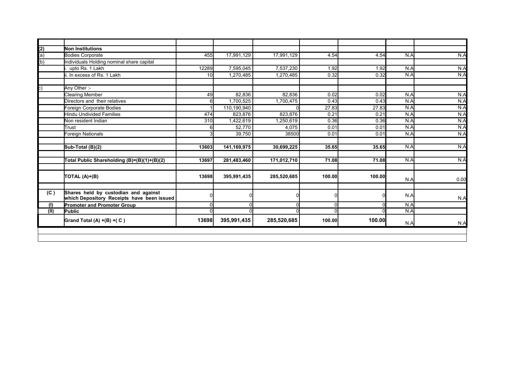|      | Non Institutions                                                                   |       |             |             |        |        |     |  |
|------|------------------------------------------------------------------------------------|-------|-------------|-------------|--------|--------|-----|--|
|      | <b>Bodies Corporate</b>                                                            | 455   | 17,991,129  | 17,991,129  | 4.54   | 4.54   | N.A |  |
|      | Individuals Holding nominal share capital                                          |       |             |             |        |        |     |  |
|      | upto Rs. 1 Lakh                                                                    | 12289 | 7,595,045   | 7,537,230   | 1.92   | 1.92   | N.A |  |
|      | ii. In excess of Rs. 1 Lakh                                                        | 10    | 1,270,485   | 1,270,485   | 0.32   | 0.32   | N.A |  |
|      | Any Other :-                                                                       |       |             |             |        |        |     |  |
|      | <b>Clearing Member</b>                                                             | 49    | 82.836      | 82.836      | 0.02   | 0.02   | N.A |  |
|      | Directors and their relatives                                                      | 6     | 1,700,525   | 1,700,475   | 0.43   | 0.43   | N.A |  |
|      | Foreign Corporate Bodies                                                           |       | 110,190,940 |             | 27.83  | 27.83  | N.A |  |
|      | <b>Hindu Undivided Families</b>                                                    | 474   | 823,876     | 823,876     | 0.21   | 0.21   | N.A |  |
|      | Non resident Indian                                                                | 310   | 1,422,619   | 1.250.619   | 0.36   | 0.36   | N.A |  |
|      | Trust                                                                              | 6     | 52,770      | 4.075       | 0.01   | 0.01   | N.A |  |
|      | Foreign Nationals                                                                  |       | 39,750      | 38500       | 0.01   | 0.01   | N.A |  |
|      | Sub-Total (B)(2)                                                                   | 13603 | 141,169,975 | 30,699,225  | 35.65  | 35.65  | N.A |  |
|      | Total Public Shareholding (B)=(B)(1)+(B)(2)                                        | 13697 | 281,483,460 | 171,012,710 | 71.08  | 71.08  | N.A |  |
|      | TOTAL (A)+(B)                                                                      | 13698 | 395,991,435 | 285,520,685 | 100.00 | 100.00 | N.A |  |
| (C)  | Shares held by custodian and against<br>which Depository Receipts have been issued |       |             |             |        |        | N.A |  |
| (1)  | <b>Promoter and Promoter Group</b>                                                 | 0     |             |             |        |        | N.A |  |
| (II) | Public                                                                             |       |             |             |        |        | N.A |  |
|      | Grand Total (A) +(B) +(C)                                                          | 13698 | 395,991,435 | 285,520,685 | 100.00 | 100.00 | N.A |  |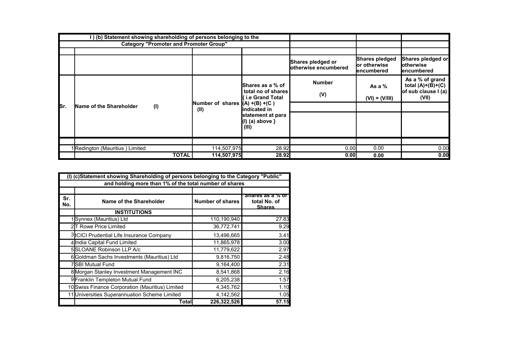|      | I) (b) Statement showing shareholding of persons belonging to the |              |                                                                                                                                           |                                                    |                                           |                                                |                                                                        |
|------|-------------------------------------------------------------------|--------------|-------------------------------------------------------------------------------------------------------------------------------------------|----------------------------------------------------|-------------------------------------------|------------------------------------------------|------------------------------------------------------------------------|
|      | <b>Category "Promoter and Promoter Group"</b>                     |              |                                                                                                                                           |                                                    |                                           |                                                |                                                                        |
|      |                                                                   |              |                                                                                                                                           |                                                    |                                           |                                                |                                                                        |
|      |                                                                   |              |                                                                                                                                           |                                                    | Shares pledged or<br>otherwise encumbered | Shares pledged<br>lor otherwise<br>lencumbered | Shares pledged or<br>lotherwise<br>lencumbered                         |
|      |                                                                   |              | <b>Shares as a % of</b><br>total no of shares<br><b>{ i.e Grand Total</b><br>Number of shares $ (A) + (B) + (C)$<br>(II)<br>lindicated in |                                                    | <b>Number</b><br>(V)                      | As a $%$<br>$(VI) = (V/III)$                   | As a % of grand<br>total $(A)+(B)+(C)$<br>of sub clause I (a)<br>(VII) |
| lsr. | (1)<br>Name of the Shareholder                                    |              |                                                                                                                                           |                                                    |                                           |                                                |                                                                        |
|      |                                                                   |              |                                                                                                                                           | statement at para<br>$(1)$ (a) above $\}$<br>(III) |                                           |                                                |                                                                        |
|      |                                                                   |              |                                                                                                                                           |                                                    |                                           |                                                |                                                                        |
|      | IRedington (Mauritius) Limited                                    |              | 114,507,975                                                                                                                               | 28.92                                              | 0.00                                      | 0.00                                           | 0.00                                                                   |
|      |                                                                   | <b>TOTAL</b> | 114,507,975                                                                                                                               | 28.92                                              | 0.00                                      | 0.00                                           | 0.00                                                                   |

|            | (I) (c)Statement showing Shareholding of persons belonging to the Category "Public" |                         |                                            |  |  |  |  |
|------------|-------------------------------------------------------------------------------------|-------------------------|--------------------------------------------|--|--|--|--|
|            | and holding more than 1% of the total number of shares                              |                         |                                            |  |  |  |  |
|            |                                                                                     |                         |                                            |  |  |  |  |
| Sr.<br>No. | Name of the Shareholder                                                             | <b>Number of shares</b> | shares as a % or<br>total No. of<br>Shares |  |  |  |  |
|            | <b>INSTITUTIONS</b>                                                                 |                         |                                            |  |  |  |  |
|            | 1Synnex (Mauritius) Ltd                                                             | 110,190,940             | 27.83                                      |  |  |  |  |
|            | 2T Rowe Price Limited                                                               | 36,772,741              | 9.29                                       |  |  |  |  |
|            | 3 ICICI Prudential Life Insurance Company                                           | 13,496,665              | 3.41                                       |  |  |  |  |
|            | 4 India Capital Fund Limited                                                        | 11,865,978              | 3.00                                       |  |  |  |  |
|            | 5SLOANE Robinson LLP A/c                                                            | 11,779,622              | 2.97                                       |  |  |  |  |
|            | 6 Goldman Sachs Investments (Mauritius) Ltd                                         | 9,816,750               | 2.48                                       |  |  |  |  |
|            | <b>7ISBI Mutual Fund</b>                                                            | 9,164,400               | 2.31                                       |  |  |  |  |
|            | 8 Morgan Stanley Investment Management INC                                          | 8,541,868               | 2.16                                       |  |  |  |  |
|            | 9 Franklin Templeton Mutual Fund                                                    | 6,205,238               | 1.57                                       |  |  |  |  |
|            | 10 Swiss Finance Corporation (Mauritius) Limited                                    | 4,345,762               | 1.10                                       |  |  |  |  |
|            | 11 Universities Superannuation Scheme Limited                                       | 4,142,562               | 1.05                                       |  |  |  |  |
|            | Total                                                                               | 226,322,526             | 57.15                                      |  |  |  |  |